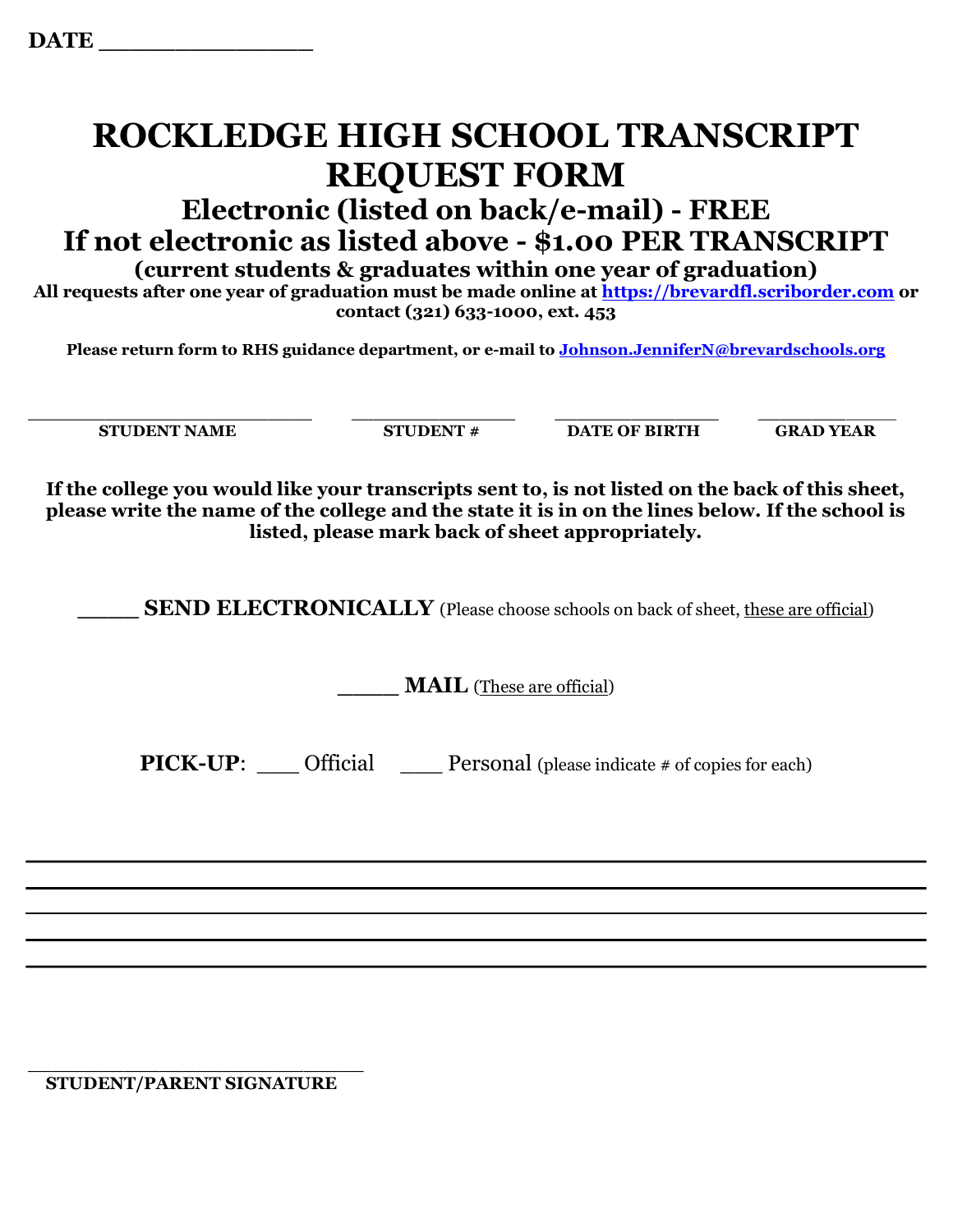## ROCKLEDGE HIGH SCHOOL TRANSCRIPT REQUEST FORM

## Electronic (listed on back/e-mail) - FREE If not electronic as listed above - \$1.00 PER TRANSCRIPT

(current students & graduates within one year of graduation)

All requests after one year of graduation must be made online at https://brevardfl.scriborder.com or contact (321) 633-1000, ext. 453

Please return form to RHS guidance department, or e-mail to Johnson.JenniferN@brevardschools.org

 $\_$  , and the set of the set of the set of the set of the set of the set of the set of the set of the set of the set of the set of the set of the set of the set of the set of the set of the set of the set of the set of th STUDENT NAME STUDENT # DATE OF BIRTH GRAD YEAR

If the college you would like your transcripts sent to, is not listed on the back of this sheet, please write the name of the college and the state it is in on the lines below. If the school is listed, please mark back of sheet appropriately.

SEND ELECTRONICALLY (Please choose schools on back of sheet, these are official)

**MAIL** (These are official)

**PICK-UP:** Official Personal (please indicate  $\#$  of copies for each)

\_\_\_\_\_\_\_\_\_\_\_\_\_\_\_\_\_\_\_\_\_\_\_\_\_\_\_\_ STUDENT/PARENT SIGNATURE